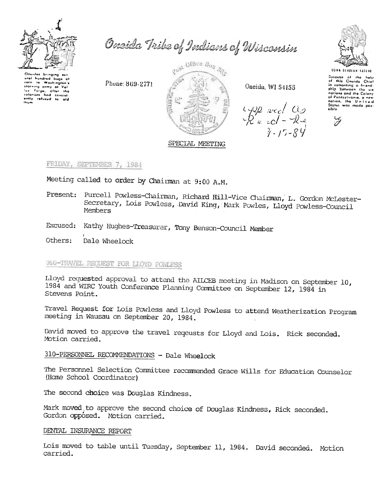

Onsida Tribe of Indians of Wisconsin

Onuidas bringing su ural hundred bugs of corn to Washington's itarving army of Val by Forge, after the

Phone: 869-2771



Oneida, WI 54155

 $\frac{1}{R}$  and  $\frac{1}{4}$ <br> $\frac{1}{2}$ <br> $\frac{1}{2}$ <br> $\frac{1}{2}$ 



Secouse of the halp<br>of this Oneido Chief<br>in comonting a friend-<br>ship between the six nations and the Colony of Ponnsylvania, a new aible

 $\overline{z}$ 

## SPECIAL MEETING

FRIDAY, SEPTEMBER 7, 1984

Meeting called to order by Chairman at 9:00 A.M.

- Present: Purcell Powless-Chairman, Richard Hill-Vice Chairman, L. Gordon McLester-Secretary, Lois Powless, David King, Mark Powles, Lloyd Powless-Council Members
- Excused: Kathy Hughes-Treasurer, Tony Benson-Council Member

Others: Dale Wheelock

# 060-TRAVEL REQUEST FOR LIOYD POWLESS

Lloyd requested approval to attend the AILCEB meeting in Madison on September 10, 1984 and WIRC Youth Conference Planning Committee on September 12, 1984 in Stevens Point.

Travel Request for Lois Powless and Lloyd Powless to attend Weatherization Program meeting in Wausau on September 20, 1984.

David moved to approve the travel reqeusts for Lloyd and Lois. Rick seconded. Motion carried.

310-PERSONNEL RECOMMENDATIONS - Dale Wheelock

The Personnel Selection Committee recommended Grace Wills for Education Counselor (Home School Coordinator)

The second choice was Douglas Kindness.

Mark moved to approve the second choice of Douglas Kindness, Rick seconded. Gordon opposed. Motion carried.

### DENTAL INSURANCE REPORT

Lois moved to table until Tuesday, September 11, 1984. David seconded. Motion carried.